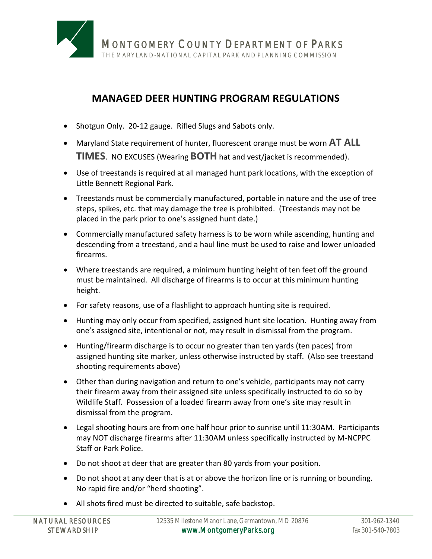

## **MANAGED DEER HUNTING PROGRAM REGULATIONS**

- Shotgun Only. 20-12 gauge. Rifled Slugs and Sabots only.
- Maryland State requirement of hunter, fluorescent orange must be worn **AT ALL TIMES**. NO EXCUSES (Wearing **BOTH** hat and vest/jacket is recommended).
- Use of treestands is required at all managed hunt park locations, with the exception of Little Bennett Regional Park.
- Treestands must be commercially manufactured, portable in nature and the use of tree steps, spikes, etc. that may damage the tree is prohibited. (Treestands may not be placed in the park prior to one's assigned hunt date.)
- Commercially manufactured safety harness is to be worn while ascending, hunting and descending from a treestand, and a haul line must be used to raise and lower unloaded firearms.
- Where treestands are required, a minimum hunting height of ten feet off the ground must be maintained. All discharge of firearms is to occur at this minimum hunting height.
- For safety reasons, use of a flashlight to approach hunting site is required.
- Hunting may only occur from specified, assigned hunt site location. Hunting away from one's assigned site, intentional or not, may result in dismissal from the program.
- Hunting/firearm discharge is to occur no greater than ten yards (ten paces) from assigned hunting site marker, unless otherwise instructed by staff. (Also see treestand shooting requirements above)
- Other than during navigation and return to one's vehicle, participants may not carry their firearm away from their assigned site unless specifically instructed to do so by Wildlife Staff. Possession of a loaded firearm away from one's site may result in dismissal from the program.
- Legal shooting hours are from one half hour prior to sunrise until 11:30AM. Participants may NOT discharge firearms after 11:30AM unless specifically instructed by M-NCPPC Staff or Park Police.
- Do not shoot at deer that are greater than 80 yards from your position.
- Do not shoot at any deer that is at or above the horizon line or is running or bounding. No rapid fire and/or "herd shooting".
- All shots fired must be directed to suitable, safe backstop.